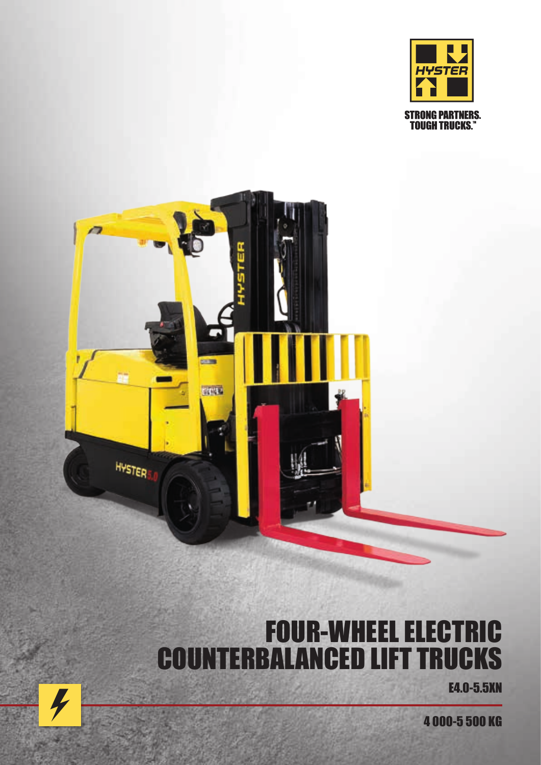



# FOUR-WHEEL ELECTRIC COUNTERBALANCED LIFT TRUCKS

E4.0-5.5XN

4 000-5 500 KG

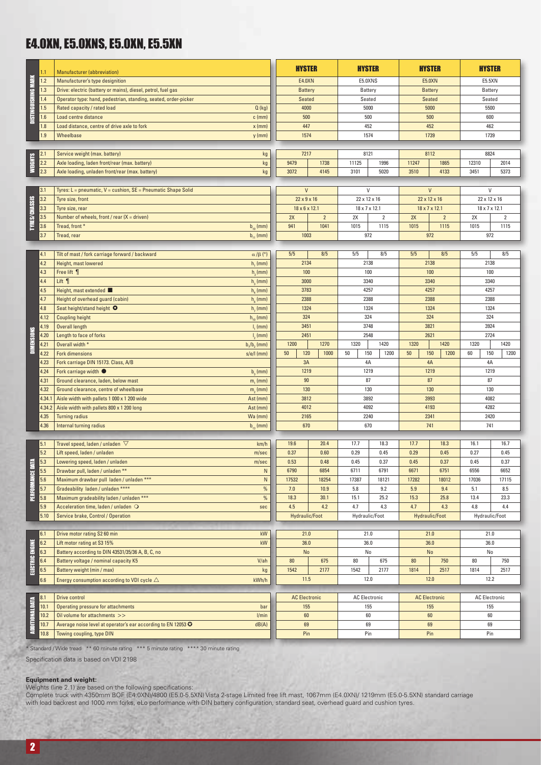### E4.0XN, E5.0XNS, E5.0XN, E5.5XN

|                      | 1.1             | <b>Manufacturer</b> (abbreviation)                              |                              | <b>HYSTER</b>                           |                | <b>HYSTER</b>         |                |              | <b>HYSTER</b>                             | <b>HYSTER</b>             |                       |  |
|----------------------|-----------------|-----------------------------------------------------------------|------------------------------|-----------------------------------------|----------------|-----------------------|----------------|--------------|-------------------------------------------|---------------------------|-----------------------|--|
| DISTINGUISHING MARK  | 1.2             | Manufacturer's type designition                                 |                              | E4.0XN                                  |                | E5.0XNS               |                |              | <b>E5.0XN</b>                             |                           | E5.5XN                |  |
|                      | 1.3             | Drive: electric (battery or mains), diesel, petrol, fuel gas    |                              | <b>Battery</b>                          |                | Battery               |                |              | <b>Battery</b>                            | Battery                   |                       |  |
|                      | 1.4             | Operator type: hand, pedestrian, standing, seated, order-picker |                              | Seated                                  |                | Seated                |                |              | Seated                                    |                           | Seated                |  |
|                      | 1.5             | Rated capacity / rated load                                     | Q(kg)                        | 4000                                    |                | 5000                  |                |              | 5000                                      | 5500                      |                       |  |
|                      | 1.6             | Load centre distance                                            | $c$ (mm)                     | 500                                     |                | 500                   |                |              | 500                                       |                           | 600                   |  |
|                      | 1.8             | Load distance, centre of drive axle to fork                     | $x$ (mm)                     | 447                                     |                | 452                   |                |              | 452                                       |                           | 462                   |  |
|                      | 1.9             | Wheelbase                                                       | $y$ (mm)                     | 1574                                    |                | 1574                  |                |              | 1739                                      | 1739                      |                       |  |
|                      |                 |                                                                 |                              |                                         |                |                       |                |              |                                           |                           |                       |  |
|                      | 2.1             | Service weight (max. battery)                                   | kg                           | 7217                                    |                | 8121                  |                |              | 8112                                      | 8824                      |                       |  |
| <b>WEIGHTS</b>       | 2.2             | Axle loading, laden front/rear (max. battery)                   | kg                           | 9479                                    | 1738           | 11125                 | 1996           | 11247        | 1865                                      | 12310                     | 2014                  |  |
|                      | 2.3             | Axle loading, unladen front/rear (max. battery)                 | $\mathsf{k}\mathsf{g}$       | 3072                                    | 4145           | 3101                  | 5020           | 3510         | 4133                                      | 3451                      | 5373                  |  |
|                      |                 |                                                                 |                              |                                         |                |                       |                |              |                                           |                           |                       |  |
|                      | 3.1<br>3.2      | Tyres: L = pneumatic, V = cushion, SE = Pneumatic Shape Solid   |                              | $\mathsf{V}$<br>$22 \times 9 \times 16$ |                | V<br>22 x 12 x 16     |                |              | $\mathsf{V}$                              | 22 x 12 x 16              | V                     |  |
|                      | 3.3             | Tyre size, front<br>Tyre size, rear                             |                              | $18 \times 6 \times 12.1$               |                | 18 x 7 x 12.1         |                |              | 22 x 12 x 16<br>$18 \times 7 \times 12.1$ | $18 \times 7 \times 12.1$ |                       |  |
|                      | 3.5             | Number of wheels, front / rear $(X =$ driven)                   |                              | 2X                                      | $\overline{2}$ | 2X                    | $\overline{2}$ | 2X           | $\overline{2}$                            | 2X                        | $\sqrt{2}$            |  |
| <b>TYRES/CHASSIS</b> | 3.6             | Tread, front *                                                  | $b_{10}$ (mm)                | 941                                     | 1041           | 1015                  | 1115           | 1015         | 1115                                      | 1015                      | 1115                  |  |
|                      | 3.7             | Tread, rear                                                     | $b_{11}$ (mm)                | 1003                                    |                | 972                   |                |              | 972                                       |                           | 972                   |  |
|                      |                 |                                                                 |                              |                                         |                |                       |                |              |                                           |                           |                       |  |
|                      | 4.1             | Tilt of mast / fork carriage forward / backward                 | $\alpha$ / $\beta$ (°)       | 5/5                                     | 8/5            | 5/5                   | 8/5            | 5/5          | 8/5                                       | 5/5                       | 8/5                   |  |
|                      | 4.2             | Height, mast lowered                                            | h, (mm)                      | 2134                                    |                | 2138                  |                |              | 2138                                      | 2138                      |                       |  |
|                      | 4.3             | Free lift 1                                                     | h <sub>2</sub> (mm)          |                                         | 100            |                       | 100            |              | 100                                       | 100                       |                       |  |
|                      | 4.4             | Lift $\P$                                                       | $h3$ (mm)                    |                                         | 3000           |                       | 3340           |              | 3340                                      | 3340                      |                       |  |
|                      | 4.5             | Height, mast extended                                           | $h_{\alpha}$ (mm)            |                                         | 3783           |                       | 4257           |              | 4257                                      | 4257                      |                       |  |
|                      | 4.7             | Height of overhead guard (cabin)                                | $h_{\rm s}$ (mm)             |                                         | 2388           |                       | 2388           |              | 2388                                      |                           | 2388                  |  |
|                      | 4.8             | Seat height/stand height O                                      | $h2$ (mm)                    |                                         | 1324           |                       | 1324           |              | 1324                                      |                           | 1324                  |  |
|                      | 4.12            | <b>Coupling height</b>                                          | $h_{10}$ (mm)                |                                         | 324            |                       | 324            |              | 324                                       | 324                       |                       |  |
|                      | 4.19            | Overall length                                                  | I, (mm)                      | 3451<br>2451                            |                | 3748<br>2548          |                | 3821<br>2621 |                                           | 3924<br>2724              |                       |  |
| <b>DIMENSIONS</b>    | 4.20<br>4.21    | Length to face of forks<br>Overall width *                      | $I2$ (mm)                    | 1200                                    | 1270           | 1320                  | 1420           | 1320         | 1420                                      | 1320                      | 1420                  |  |
|                      | 4.22            | <b>Fork dimensions</b>                                          | $b1/b2$ (mm)<br>$s/e/l$ (mm) | 120<br>50                               | 1000           | 150<br>50             | 1200           | 50           | 150<br>1200                               | 60                        | 150<br>1200           |  |
|                      | 4.23            | Fork carriage DIN 15173. Class, A/B                             |                              | 3A                                      |                | 4A                    |                |              | 4A                                        | 4A                        |                       |  |
|                      | 4.24            | Fork carriage width $\bullet$                                   | $b2$ (mm)                    | 1219                                    |                | 1219                  |                |              | 1219                                      | 1219                      |                       |  |
|                      | 4.31            | Ground clearance, laden, below mast                             | m, (mm)                      |                                         | 90             | 87                    |                |              | 87                                        | 87                        |                       |  |
|                      | 4.32            | Ground clearance, centre of wheelbase                           | $m2$ (mm)                    | 130                                     |                | 130                   |                |              | 130                                       |                           | 130                   |  |
|                      | 4.34.1          | Aisle width with pallets 1 000 x 1 200 wide                     | Ast (mm)                     |                                         | 3812           |                       | 3892           | 3993         |                                           | 4082                      |                       |  |
|                      | 4.34.2          | Aisle width with pallets 800 x 1 200 long                       | Ast (mm)                     | 4012                                    |                | 4092                  |                |              | 4193                                      | 4282                      |                       |  |
|                      | 4.35            | <b>Turning radius</b>                                           | Wa (mm)                      | 2165                                    |                | 2240                  |                | 2341         |                                           | 2420                      |                       |  |
|                      | 4.36            | Internal turning radius                                         | $b_{13}$ (mm)                | 670                                     |                | 670                   |                |              | 741                                       |                           | 741                   |  |
|                      | 5.1             | Travel speed, laden / unladen $~\nabla$                         | km/h                         | 19.6                                    | 20.4           | 17.7                  | 18.3           | 17.7         | 18.3                                      | 16.1                      | 16.7                  |  |
|                      | 5.2             | Lift speed, laden / unladen                                     | m/sec                        | 0.37                                    | 0.60           | 0.29                  | 0.45           | 0.29         | 0.45                                      | 0.27                      | 0.45                  |  |
| É                    | 5.3             | Lowering speed, laden / unladen                                 | m/sec                        | 0.53                                    | 0.48           | 0.45                  | 0.37           | 0.45         | 0.37                                      | 0.45                      | 0.37                  |  |
|                      | 5.5             | Drawbar pull, laden / unladen **                                | N                            | 6790                                    | 6854           | 6711                  | 6791           | 6671         | 6751                                      | 6556                      | 6652                  |  |
|                      | 5.6             | Maximum drawbar pull laden / unladen ***                        | ${\sf N}$                    | 17532                                   | 18254          | 17387                 | 18121          | 17282        | 18012                                     | 17036                     | 17115                 |  |
| <b>PERFORMANCE</b>   | 5.7             | Gradeability laden / unladen ****                               | $\%$                         | 7.0                                     | 10.9           | 5.8                   | 9.2            | 5.9          | 9.4                                       | 5.1                       | 8.5                   |  |
|                      | 5.8             | Maximum gradeability laden / unladen ***                        | $\%$                         | 18.3                                    | 30.1           | 15.1                  | 25.2           | 15.3         | 25.8                                      | 13.4                      | 23.3                  |  |
|                      | $5.9\,$<br>5.10 | Acceleration time, laden / unladen O                            | sec                          | 4.5<br>Hydraulic/Foot                   | 4.2            | 4.7<br>Hydraulic/Foot | 4.3            | 4.7          | 4.3<br><b>Hydraulic/Foot</b>              | 4.8                       | 4.4<br>Hydraulic/Foot |  |
|                      |                 | Service brake, Control / Operation                              |                              |                                         |                |                       |                |              |                                           |                           |                       |  |
|                      | 6.1             | Drive motor rating S2 60 min                                    | kW                           | 21.0                                    |                | 21.0                  |                |              | 21.0                                      |                           | 21.0                  |  |
|                      | 6.2             | Lift motor rating at S3 15%                                     | kW                           | 36.0                                    |                | 36.0                  |                |              | 36.0                                      |                           | 36.0                  |  |
|                      | 6.3             | Battery according to DIN 43531/35/36 A, B, C, no                |                              | No                                      |                | No                    |                |              | No                                        |                           | No                    |  |
| ELECTRIC ENGINE      | 6.4             | Battery voltage / nominal capacity K5                           | V/ah                         | 80                                      | 675            | 80                    | 675            | 80           | 750                                       | 80                        | 750                   |  |
|                      | 6.5             | Battery weight (min / max)                                      | kg                           | 1542                                    | 2177           | 1542                  | 2177           | 1814         | 2517                                      | 1814                      | 2517                  |  |
|                      | 6.6             | Energy consumption according to VDI cycle $\triangle$           | kWh/h                        | 11.5                                    |                | 12.0                  |                |              | $12.0$                                    |                           | 12.2                  |  |
|                      | 8.1             | <b>Drive control</b>                                            |                              | <b>AC Electronic</b>                    |                | <b>AC Electronic</b>  |                |              | <b>AC Electronic</b>                      |                           | <b>AC Electronic</b>  |  |
|                      | 10.1            | Operating pressure for attachments                              | bar                          | 155                                     |                | 155                   |                |              | 155                                       |                           | 155                   |  |
|                      | 10.2            | Oil volume for attachments >>                                   | I/min                        | 60                                      |                | 60                    |                |              | 60                                        |                           | 60                    |  |
| ADDITIONAL DATA      | 10.7            | Average noise level at operator's ear according to EN 12053 C   | dB(A)                        | 69                                      |                | 69                    |                |              | 69                                        |                           | 69                    |  |
|                      | 10.8            | Towing coupling, type DIN                                       |                              | Pin                                     |                | Pin                   |                |              | Pin                                       |                           | Pin                   |  |
|                      |                 |                                                                 |                              |                                         |                |                       |                |              |                                           |                           |                       |  |

\* Standard / Wide tread \*\* 60 minute rating \*\*\* 5 minute rating \*\*\*\* 30 minute rating

 $250$ 

Specification data is based on VDI 2198

#### **Equipment and weight:**

Weights (line 2.1) are based on the following specifications:

Complete truck with 4350mm BOF (E4.0XN)/4800 (E5.0-5.5XN) Vista 2-stage Limited free lift mast, 1067mm (E4.0XN)/ 1219mm (E5.0-5.5XN) standard carriage with load backrest and 1000 mm forks, eLo performance with DIN battery configuration, standard seat, overhead guard and cushion tyres.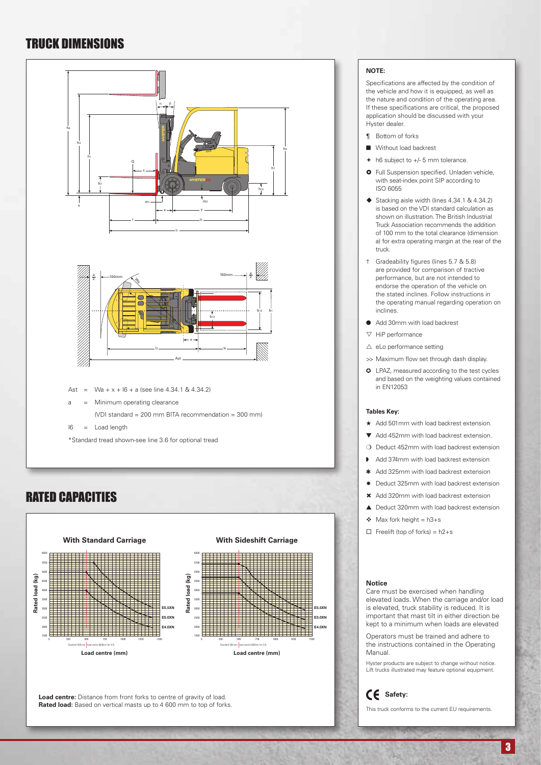### TRUCK DIMENSIONS



### RATED CAPACITIES



Load centre: Distance from front forks to centre of gravity of load. **Rated load:** Based on vertical masts up to 4,600 mm to top of forks.

#### **NOTE:**

Specifications are affected by the condition of the vehicle and how it is equipped, as well as the nature and condition of the operating area. If these specifications are critical, the proposed application should be discussed with your Hyster dealer.

- ¶ Bottom of forks
- **N** Without load backrest
- $\div$  h6 subject to  $+/-$  5 mm tolerance.
- **O** Full Suspension specified. Unladen vehicle, with seat-index point SIP according to ISO 6055
- $\blacklozenge$  Stacking aisle width (lines 4.34.1 & 4.34.2) is based on the VDI standard calculation as shown on illustration. The British Industrial Truck Association recommends the addition of 100 mm to the total clearance (dimension a) for extra operating margin at the rear of the truck.
- † Gradeability figures (lines 5.7 & 5.8) are provided for comparison of tractive performance, but are not intended to endorse the operation of the vehicle on the stated inclines. Follow instructions in the operating manual regarding operation on inclines.
- Add 30mm with load backrest
- $\nabla$  HiP performance
- $\triangle$  eLo performance setting
- >> Maximum flow set through dash display.
- **O** LPAZ, measured according to the test cycles and based on the weighting values contained in EN12053

#### **Tables Key:**

- ★ Add 501mm with load backrest extension.
- $\blacktriangledown$  Add 452mm with load backrest extension.
- $\Omega$  Deduct 452mm with load backrest extension
- Add 374mm with load backrest extension
- Add 325mm with load backrest extension
- \* Deduct 325mm with load backrest extension
- \* Add 320mm with load backrest extension
- $\triangle$  Deduct 320mm with load backrest extension
- $\triangleleft$  Max fork height = h3+s
- $\Box$  Freelift (top of forks) = h2+s

#### **Notice**

Care must be exercised when handling elevated loads. When the carriage and/or load is elevated, truck stability is reduced. It is important that mast tilt in either direction be kept to a minimum when loads are elevated

Operators must be trained and adhere to the instructions contained in the Operating Manual.

Hyster products are subject to change without notice. Lift trucks illustrated may feature optional equipment.

**Safety:**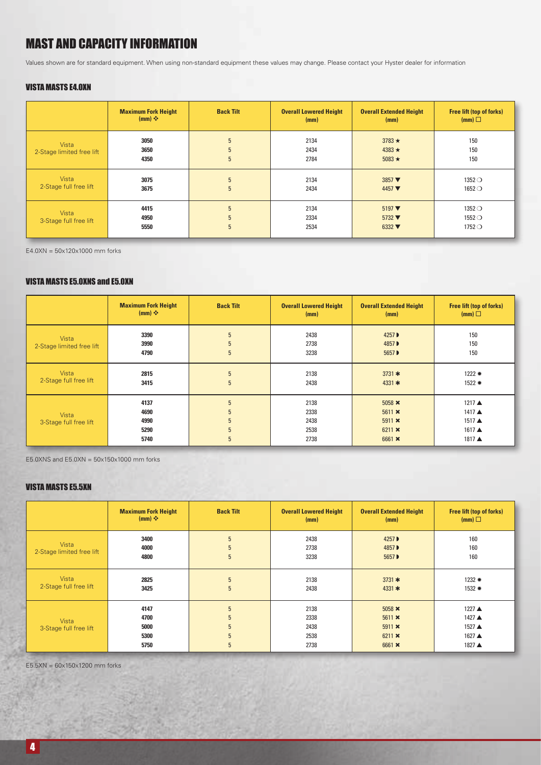### MAST AND CAPACITY INFORMATION

Values shown are for standard equipment. When using non-standard equipment these values may change. Please contact your Hyster dealer for information

#### VISTA MASTS E4.0XN

|                                           | <b>Maximum Fork Height</b><br>$(mm)$ $\div$ | <b>Back Tilt</b> | <b>Overall Lowered Height</b><br>(mm) | <b>Overall Extended Height</b><br>(mm)                                                | <b>Free lift (top of forks)</b><br>(mm)                     |
|-------------------------------------------|---------------------------------------------|------------------|---------------------------------------|---------------------------------------------------------------------------------------|-------------------------------------------------------------|
| <b>Vista</b><br>2-Stage limited free lift | 3050<br>3650<br>4350                        | 5<br>5<br>5      | 2134<br>2434<br>2784                  | $3783 \star$<br>$4383 \star$<br>$5083 \star$                                          | 150<br>150<br>150                                           |
| Vista<br>2-Stage full free lift           | 3075<br>3675                                | 5<br>5           | 2134<br>2434                          | $3857$ $\blacktriangledown$<br>$4457$ $\blacktriangledown$                            | $1352$ $\bigcirc$<br>$1652$ $\bigcirc$                      |
| Vista<br>3-Stage full free lift           | 4415<br>4950<br>5550                        | 5<br>5<br>5      | 2134<br>2334<br>2534                  | $5197$ $\blacktriangledown$<br>$5732 \blacktriangledown$<br>$6332 \blacktriangledown$ | $1352$ $\bigcirc$<br>$1552$ $\bigcirc$<br>$1752$ $\bigcirc$ |

E4.0XN = 50x120x1000 mm forks

#### VISTA MASTS E5.0XNS and E5.0XN

|                                           | <b>Maximum Fork Height</b><br>$(mm)$ $\div$ | <b>Back Tilt</b>      | <b>Overall Lowered Height</b><br>(mm) | <b>Overall Extended Height</b><br>(mm)                                          | <b>Free lift (top of forks)</b><br>(mm)                  |
|-------------------------------------------|---------------------------------------------|-----------------------|---------------------------------------|---------------------------------------------------------------------------------|----------------------------------------------------------|
| <b>Vista</b><br>2-Stage limited free lift | 3390<br>3990<br>4790                        | 5<br>5<br>5           | 2438<br>2738<br>3238                  | 4257 ▶<br>4857 ▶<br>5657 ▶                                                      | 150<br>150<br>150                                        |
| Vista<br>2-Stage full free lift           | 2815<br>3415                                | 5<br>5                | 2138<br>2438                          | 3731 $*$<br>4331 $*$                                                            | $1222$ $*$<br>1522 *                                     |
| Vista<br>3-Stage full free lift           | 4137<br>4690<br>4990<br>5290<br>5740        | 5<br>5<br>5<br>5<br>5 | 2138<br>2338<br>2438<br>2538<br>2738  | 5058 $\bm{\times}$<br>$5611 \times$<br>$5911 \times$<br>$6211 \times$<br>6661 × | 1217 ▲<br>1417 A<br>$1517 \triangle$<br>1617 ▲<br>1817 ▲ |

E5.0XNS and  $E5.0XN = 50x150x1000$  mm forks

#### VISTA MASTS E5.5XN

|                                    | <b>Maximum Fork Height</b><br>$(mm)$ $\div$ | <b>Back Tilt</b>                   | <b>Overall Lowered Height</b><br>(mm) | <b>Overall Extended Height</b><br>(mm)                                     | <b>Free lift (top of forks)</b><br>(mm)        |
|------------------------------------|---------------------------------------------|------------------------------------|---------------------------------------|----------------------------------------------------------------------------|------------------------------------------------|
| Vista<br>2-Stage limited free lift | 3400<br>4000<br>4800                        | 5<br>5<br>5                        | 2438<br>2738<br>3238                  | 4257 ▶<br>4857 ▶<br>5657 ▶                                                 | 160<br>160<br>160                              |
| Vista<br>2-Stage full free lift    | 2825<br>3425                                | 5<br>5                             | 2138<br>2438                          | 3731 $*$<br>4331 $*$                                                       | $1232$ $*$<br>$1532 *$                         |
| Vista<br>3-Stage full free lift    | 4147<br>4700<br>5000<br>5300<br>5750        | 5<br>5<br>5<br>5 <sup>5</sup><br>5 | 2138<br>2338<br>2438<br>2538<br>2738  | $5058 \times$<br>$5611 \times$<br>$5911 \times$<br>$6211 \times$<br>6661 × | 1227 ▲<br>1427 ▲<br>1527 ▲<br>1627 ▲<br>1827 ▲ |

 $E5.5XN = 60x150x1200$  mm forks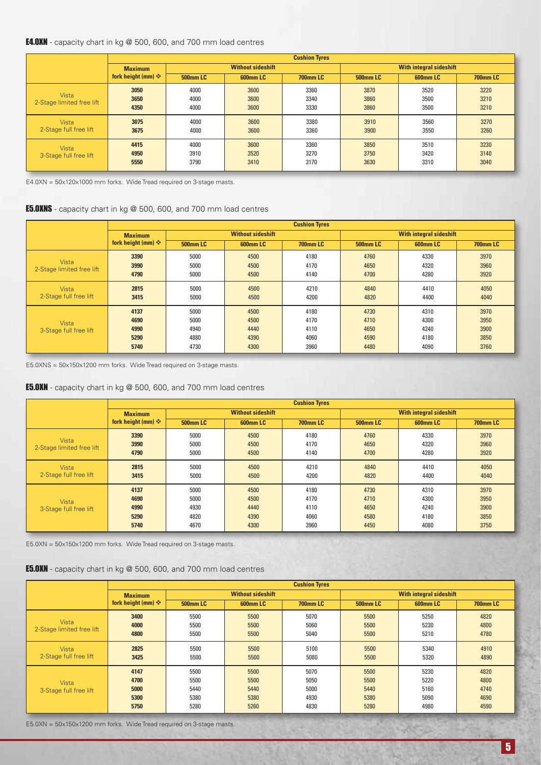#### E4.0XN - capacity chart in kg @ 500, 600, and 700 mm load centres

|                                        |                                     | <b>Cushion Tyres</b> |                             |                      |                                |                      |                      |  |  |  |
|----------------------------------------|-------------------------------------|----------------------|-----------------------------|----------------------|--------------------------------|----------------------|----------------------|--|--|--|
|                                        | <b>Maximum</b>                      |                      | <b>Without sideshift</b>    |                      | <b>With integral sideshift</b> |                      |                      |  |  |  |
|                                        | fork height (mm) $\mathbf{\hat{v}}$ | <b>500mm LC</b>      | 600mm LC<br><b>700mm LC</b> |                      | <b>500mm LC</b>                | 600mm LC             | <b>700mm LC</b>      |  |  |  |
| Vista<br>2-Stage limited free lift     | 3050<br>3650<br>4350                | 4000<br>4000<br>4000 | 3600<br>3600<br>3600        | 3360<br>3340<br>3330 | 3870<br>3860<br>3860           | 3520<br>3500<br>3500 | 3220<br>3210<br>3210 |  |  |  |
| <b>Vista</b><br>2-Stage full free lift | 3075<br>3675                        | 4000<br>4000         | 3600<br>3600                | 3380<br>3360         | 3910<br>3900                   | 3560<br>3550         | 3270<br>3260         |  |  |  |
| <b>Vista</b><br>3-Stage full free lift | 4415<br>4950<br>5550                | 4000<br>3910<br>3790 | 3600<br>3520<br>3410        | 3360<br>3270<br>3170 | 3850<br>3750<br>3630           | 3510<br>3420<br>3310 | 3230<br>3140<br>3040 |  |  |  |

E4.0XN = 50x120x1000 mm forks. Wide Tread required on 3-stage masts.

#### **E5.0XNS** - capacity chart in kg @ 500, 600, and 700 mm load centres

|                                        | <b>Cushion Tyres</b>                    |                                      |                                      |                                      |                                      |                                      |                                      |  |  |
|----------------------------------------|-----------------------------------------|--------------------------------------|--------------------------------------|--------------------------------------|--------------------------------------|--------------------------------------|--------------------------------------|--|--|
|                                        | <b>Maximum</b>                          |                                      | <b>Without sideshift</b>             |                                      |                                      | <b>With integral sideshift</b>       |                                      |  |  |
|                                        | fork height (mm) $\mathbf{\hat{\cdot}}$ | <b>500mm LC</b>                      | 600mm LC                             | <b>700mm LC</b>                      | <b>500mm LC</b>                      | 600mm LC                             | <b>700mm LC</b>                      |  |  |
| Vista<br>2-Stage limited free lift     | 3390<br>3990<br>4790                    | 5000<br>5000<br>5000                 | 4500<br>4500<br>4500                 | 4180<br>4170<br>4140                 | 4760<br>4650<br>4700                 | 4330<br>4320<br>4280                 | 3970<br>3960<br>3920                 |  |  |
| <b>Vista</b><br>2-Stage full free lift | 2815<br>3415                            | 5000<br>5000                         | 4500<br>4500                         | 4210<br>4200                         | 4840<br>4820                         | 4410<br>4400                         | 4050<br>4040                         |  |  |
| Vista<br>3-Stage full free lift        | 4137<br>4690<br>4990<br>5290<br>5740    | 5000<br>5000<br>4940<br>4880<br>4730 | 4500<br>4500<br>4440<br>4390<br>4300 | 4180<br>4170<br>4110<br>4060<br>3960 | 4730<br>4710<br>4650<br>4590<br>4480 | 4310<br>4300<br>4240<br>4180<br>4090 | 3970<br>3950<br>3900<br>3850<br>3760 |  |  |

E5.0XNS = 50x150x1200 mm forks. Wide Tread required on 3-stage masts.

#### E5.0XN - capacity chart in kg @ 500, 600, and 700 mm load centres

|                                           | <b>Cushion Tyres</b>                 |                                      |                                      |                                      |                                      |                                      |                                      |
|-------------------------------------------|--------------------------------------|--------------------------------------|--------------------------------------|--------------------------------------|--------------------------------------|--------------------------------------|--------------------------------------|
|                                           | <b>Maximum</b>                       |                                      | <b>Without sideshift</b>             |                                      | <b>With integral sideshift</b>       |                                      |                                      |
|                                           | fork height (mm) $\div$              | <b>500mm LC</b>                      | 600mm LC                             | <b>700mm LC</b>                      | <b>500mm LC</b>                      | <b>600mmLC</b>                       | <b>700mm LC</b>                      |
| <b>Vista</b><br>2-Stage limited free lift | 3390<br>3990<br>4790                 | 5000<br>5000<br>5000                 | 4500<br>4500<br>4500                 | 4180<br>4170<br>4140                 | 4760<br>4650<br>4700                 | 4330<br>4320<br>4280                 | 3970<br>3960<br>3920                 |
| Vista<br>2-Stage full free lift           | 2815<br>3415                         | 5000<br>5000                         | 4500<br>4500                         | 4210<br>4200                         | 4840<br>4820                         | 4410<br>4400                         | 4050<br>4040                         |
| <b>Vista</b><br>3-Stage full free lift    | 4137<br>4690<br>4990<br>5290<br>5740 | 5000<br>5000<br>4930<br>4820<br>4670 | 4500<br>4500<br>4440<br>4390<br>4300 | 4180<br>4170<br>4110<br>4060<br>3960 | 4730<br>4710<br>4650<br>4580<br>4450 | 4310<br>4300<br>4240<br>4180<br>4080 | 3970<br>3950<br>3900<br>3850<br>3750 |

E5.0XN = 50x150x1200 mm forks. Wide Tread required on 3-stage masts.

#### E5.0XN - capacity chart in kg @ 500, 600, and 700 mm load centres

|                                    | <b>Cushion Tyres</b>    |                 |                          |                 |                 |                                |                 |  |  |
|------------------------------------|-------------------------|-----------------|--------------------------|-----------------|-----------------|--------------------------------|-----------------|--|--|
|                                    | <b>Maximum</b>          |                 | <b>Without sideshift</b> |                 |                 | <b>With integral sideshift</b> |                 |  |  |
|                                    | fork height (mm) $\div$ | <b>500mm LC</b> | 600mm LC                 | <b>700mm LC</b> | <b>500mm LC</b> | 600mm LC                       | <b>700mm LC</b> |  |  |
|                                    | 3400                    | 5500            | 5500                     | 5070            | 5500            | 5250                           | 4820            |  |  |
| Vista<br>2-Stage limited free lift | 4000                    | 5500            | 5500                     | 5060            | 5500            | 5230                           | 4800            |  |  |
|                                    | 4800                    | 5500            | 5500                     | 5040            | 5500            | 5210                           | 4780            |  |  |
| <b>Vista</b>                       | 2825                    | 5500            | 5500                     | 5100            | 5500            | 5340                           | 4910            |  |  |
| 2-Stage full free lift             | 3425                    | 5500            | 5500                     | 5080            | 5500            | 5320                           | 4890            |  |  |
|                                    | 4147                    | 5500            | 5500                     | 5070            | 5500            | 5230                           | 4820            |  |  |
| <b>Vista</b>                       | 4700                    | 5500            | 5500                     | 5050            | 5500            | 5220                           | 4800            |  |  |
| 3-Stage full free lift             | 5000                    | 5440            | 5440                     | 5000            | 5440            | 5160                           | 4740            |  |  |
|                                    | 5300                    | 5380            | 5380                     | 4930            | 5380            | 5090                           | 4690            |  |  |
|                                    | 5750                    | 5280            | 5260                     | 4830            | 5280            | 4980                           | 4590            |  |  |

E5.0XN = 50x150x1200 mm forks. Wide Tread required on 3-stage masts.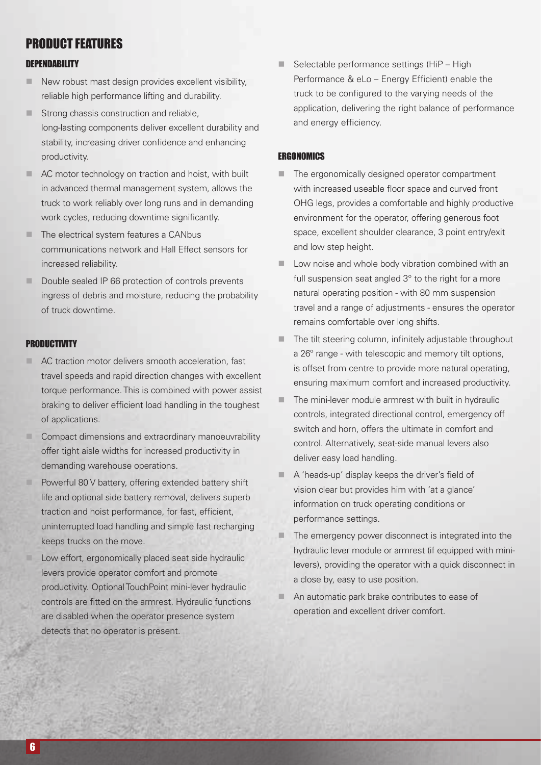### PRODUCT FEATURES

#### **DEPENDABILITY**

- $\blacksquare$  New robust mast design provides excellent visibility, reliable high performance lifting and durability.
- **n** Strong chassis construction and reliable, long-lasting components deliver excellent durability and stability, increasing driver confidence and enhancing productivity.
- AC motor technology on traction and hoist, with built in advanced thermal management system, allows the truck to work reliably over long runs and in demanding work cycles, reducing downtime significantly.
- $\blacksquare$  The electrical system features a CANbus communications network and Hall Effect sensors for increased reliability.
- Double sealed IP 66 protection of controls prevents ingress of debris and moisture, reducing the probability of truck downtime.

#### **PRODUCTIVITY**

- **E** AC traction motor delivers smooth acceleration, fast travel speeds and rapid direction changes with excellent torque performance. This is combined with power assist braking to deliver efficient load handling in the toughest of applications.
- **n** Compact dimensions and extraordinary manoeuvrability offer tight aisle widths for increased productivity in demanding warehouse operations.
- Powerful 80 V battery, offering extended battery shift life and optional side battery removal, delivers superb traction and hoist performance, for fast, efficient, uninterrupted load handling and simple fast recharging keeps trucks on the move.
- Low effort, ergonomically placed seat side hydraulic levers provide operator comfort and promote productivity. Optional TouchPoint mini-lever hydraulic controls are fitted on the armrest. Hydraulic functions are disabled when the operator presence system detects that no operator is present.

 $\blacksquare$  Selectable performance settings (HiP – High Performance & eLo – Energy Efficient) enable the truck to be configured to the varying needs of the application, delivering the right balance of performance and energy efficiency.

#### **FRGONOMICS**

- $\blacksquare$  The ergonomically designed operator compartment with increased useable floor space and curved front OHG legs, provides a comfortable and highly productive environment for the operator, offering generous foot space, excellent shoulder clearance, 3 point entry/exit and low step height.
- Low noise and whole body vibration combined with an full suspension seat angled  $3^\circ$  to the right for a more natural operating position - with 80 mm suspension travel and a range of adjustments - ensures the operator remains comfortable over long shifts.
- $\blacksquare$  The tilt steering column, infinitely adjustable throughout a 26º range - with telescopic and memory tilt options, is offset from centre to provide more natural operating, ensuring maximum comfort and increased productivity.
- The mini-lever module armrest with built in hydraulic controls, integrated directional control, emergency off switch and horn, offers the ultimate in comfort and control. Alternatively, seat-side manual levers also deliver easy load handling.
- A 'heads-up' display keeps the driver's field of vision clear but provides him with 'at a glance' information on truck operating conditions or performance settings.
- $\blacksquare$  The emergency power disconnect is integrated into the hydraulic lever module or armrest (if equipped with minilevers), providing the operator with a quick disconnect in a close by, easy to use position.
- An automatic park brake contributes to ease of operation and excellent driver comfort.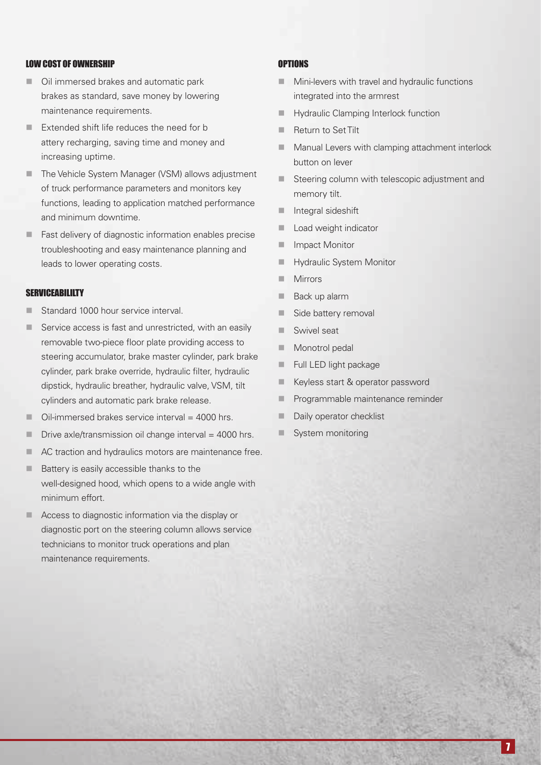#### LOW COST OF OWNERSHIP

- Oil immersed brakes and automatic park brakes as standard, save money by lowering maintenance requirements.
- $\blacksquare$  Extended shift life reduces the need for b attery recharging, saving time and money and increasing uptime.
- The Vehicle System Manager (VSM) allows adjustment of truck performance parameters and monitors key functions, leading to application matched performance and minimum downtime.
- $\blacksquare$  Fast delivery of diagnostic information enables precise troubleshooting and easy maintenance planning and leads to lower operating costs.

#### **SERVICEABILILTY**

- Standard 1000 hour service interval.
- $\blacksquare$  Service access is fast and unrestricted, with an easily removable two-piece floor plate providing access to steering accumulator, brake master cylinder, park brake cylinder, park brake override, hydraulic filter, hydraulic dipstick, hydraulic breather, hydraulic valve, VSM, tilt cylinders and automatic park brake release.
- $\Box$  Oil-immersed brakes service interval = 4000 hrs.
- $\blacksquare$  Drive axle/transmission oil change interval = 4000 hrs.
- **n** AC traction and hydraulics motors are maintenance free.
- $\blacksquare$  Battery is easily accessible thanks to the well-designed hood, which opens to a wide angle with minimum effort.
- $\blacksquare$  Access to diagnostic information via the display or diagnostic port on the steering column allows service technicians to monitor truck operations and plan maintenance requirements.

#### **OPTIONS**

- $\blacksquare$  Mini-levers with travel and hydraulic functions integrated into the armrest
- **Hydraulic Clamping Interlock function**
- Return to Set Tilt
- $\blacksquare$  Manual Levers with clamping attachment interlock button on lever
- Steering column with telescopic adjustment and memory tilt.
- $\blacksquare$  Integral sideshift
- $\blacksquare$  Load weight indicator
- Impact Monitor
- **Hydraulic System Monitor**
- **Nirrors**
- Back up alarm
- side battery removal
- **No. Swivel seat**
- Monotrol pedal
- $\blacksquare$  Full LED light package
- **Keyless start & operator password**
- **n** Programmable maintenance reminder
- Daily operator checklist
- System monitoring